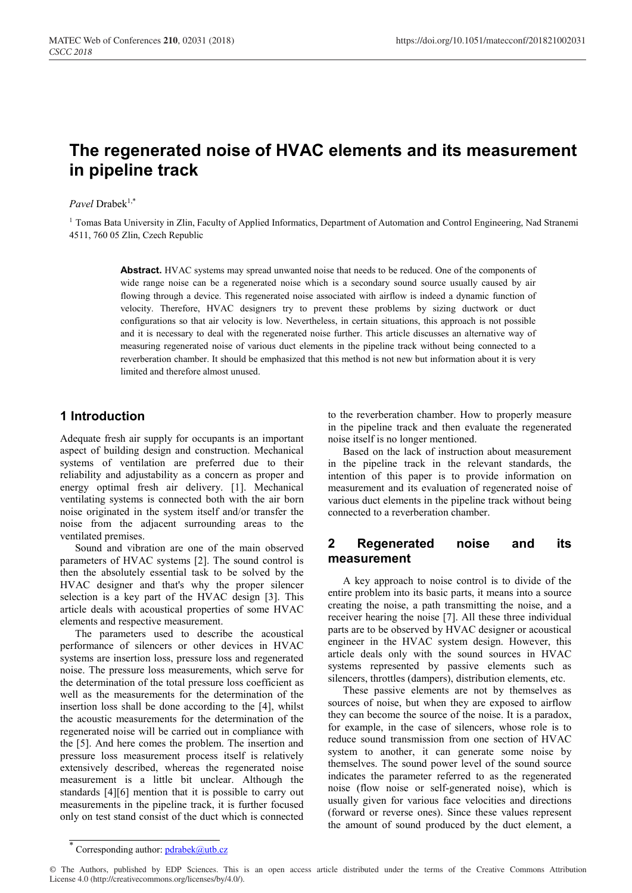# **The regenerated noise of HVAC elements and its measurement in pipeline track**

#### *Pavel* Drabek1,\*

<sup>1</sup> Tomas Bata University in Zlin, Faculty of Applied Informatics, Department of Automation and Control Engineering, Nad Stranemi 4511, 760 05 Zlin, Czech Republic

> **Abstract.** HVAC systems may spread unwanted noise that needs to be reduced. One of the components of wide range noise can be a regenerated noise which is a secondary sound source usually caused by air flowing through a device. This regenerated noise associated with airflow is indeed a dynamic function of velocity. Therefore, HVAC designers try to prevent these problems by sizing ductwork or duct configurations so that air velocity is low. Nevertheless, in certain situations, this approach is not possible and it is necessary to deal with the regenerated noise further. This article discusses an alternative way of measuring regenerated noise of various duct elements in the pipeline track without being connected to a reverberation chamber. It should be emphasized that this method is not new but information about it is very limited and therefore almost unused.

### **1 Introduction**

Adequate fresh air supply for occupants is an important aspect of building design and construction. Mechanical systems of ventilation are preferred due to their reliability and adjustability as a concern as proper and energy optimal fresh air delivery. [1]. Mechanical ventilating systems is connected both with the air born noise originated in the system itself and/or transfer the noise from the adjacent surrounding areas to the ventilated premises.

Sound and vibration are one of the main observed parameters of HVAC systems [2]. The sound control is then the absolutely essential task to be solved by the HVAC designer and that's why the proper silencer selection is a key part of the HVAC design [3]. This article deals with acoustical properties of some HVAC elements and respective measurement.

The parameters used to describe the acoustical performance of silencers or other devices in HVAC systems are insertion loss, pressure loss and regenerated noise. The pressure loss measurements, which serve for the determination of the total pressure loss coefficient as well as the measurements for the determination of the insertion loss shall be done according to the [4], whilst the acoustic measurements for the determination of the regenerated noise will be carried out in compliance with the [5]. And here comes the problem. The insertion and pressure loss measurement process itself is relatively extensively described, whereas the regenerated noise measurement is a little bit unclear. Although the standards [4][6] mention that it is possible to carry out measurements in the pipeline track, it is further focused only on test stand consist of the duct which is connected

to the reverberation chamber. How to properly measure in the pipeline track and then evaluate the regenerated noise itself is no longer mentioned.

Based on the lack of instruction about measurement in the pipeline track in the relevant standards, the intention of this paper is to provide information on measurement and its evaluation of regenerated noise of various duct elements in the pipeline track without being connected to a reverberation chamber.

# **2 Regenerated noise and its measurement**

A key approach to noise control is to divide of the entire problem into its basic parts, it means into a source creating the noise, a path transmitting the noise, and a receiver hearing the noise [7]. All these three individual parts are to be observed by HVAC designer or acoustical engineer in the HVAC system design. However, this article deals only with the sound sources in HVAC systems represented by passive elements such as silencers, throttles (dampers), distribution elements, etc.

These passive elements are not by themselves as sources of noise, but when they are exposed to airflow they can become the source of the noise. It is a paradox, for example, in the case of silencers, whose role is to reduce sound transmission from one section of HVAC system to another, it can generate some noise by themselves. The sound power level of the sound source indicates the parameter referred to as the regenerated noise (flow noise or self-generated noise), which is usually given for various face velocities and directions (forward or reverse ones). Since these values represent the amount of sound produced by the duct element, a

Corresponding author: pdrabek@utb.cz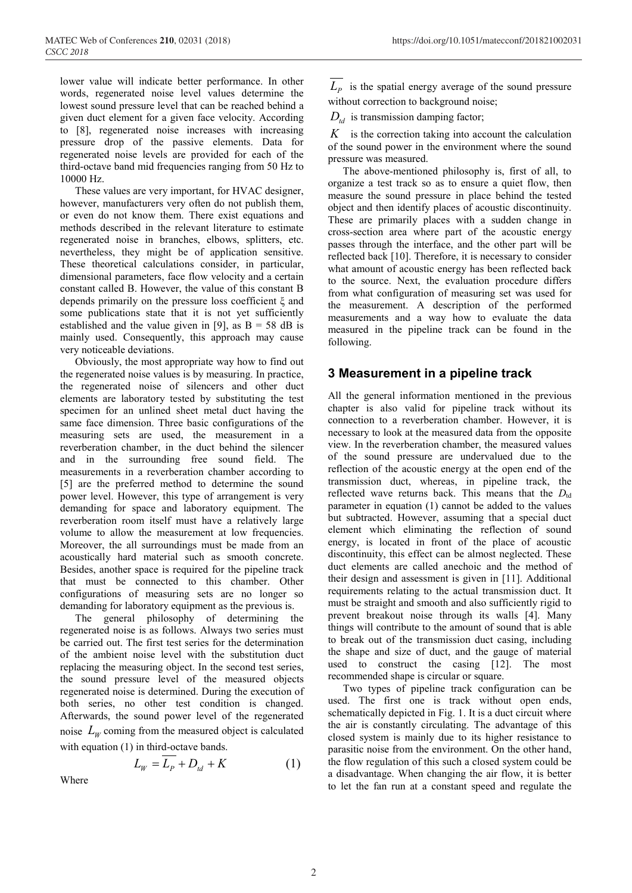lower value will indicate better performance. In other words, regenerated noise level values determine the lowest sound pressure level that can be reached behind a given duct element for a given face velocity. According to [8], regenerated noise increases with increasing pressure drop of the passive elements. Data for regenerated noise levels are provided for each of the third-octave band mid frequencies ranging from 50 Hz to 10000 Hz.

These values are very important, for HVAC designer, however, manufacturers very often do not publish them, or even do not know them. There exist equations and methods described in the relevant literature to estimate regenerated noise in branches, elbows, splitters, etc. nevertheless, they might be of application sensitive. These theoretical calculations consider, in particular, dimensional parameters, face flow velocity and a certain constant called B. However, the value of this constant B depends primarily on the pressure loss coefficient ξ and some publications state that it is not yet sufficiently established and the value given in [9], as  $B = 58$  dB is mainly used. Consequently, this approach may cause very noticeable deviations.

Obviously, the most appropriate way how to find out the regenerated noise values is by measuring. In practice, the regenerated noise of silencers and other duct elements are laboratory tested by substituting the test specimen for an unlined sheet metal duct having the same face dimension. Three basic configurations of the measuring sets are used, the measurement in a reverberation chamber, in the duct behind the silencer and in the surrounding free sound field. The measurements in a reverberation chamber according to [5] are the preferred method to determine the sound power level. However, this type of arrangement is very demanding for space and laboratory equipment. The reverberation room itself must have a relatively large volume to allow the measurement at low frequencies. Moreover, the all surroundings must be made from an acoustically hard material such as smooth concrete. Besides, another space is required for the pipeline track that must be connected to this chamber. Other configurations of measuring sets are no longer so demanding for laboratory equipment as the previous is.

The general philosophy of determining the regenerated noise is as follows. Always two series must be carried out. The first test series for the determination of the ambient noise level with the substitution duct replacing the measuring object. In the second test series, the sound pressure level of the measured objects regenerated noise is determined. During the execution of both series, no other test condition is changed. Afterwards, the sound power level of the regenerated noise  $L_W$  coming from the measured object is calculated with equation (1) in third-octave bands.

$$
L_W = L_P + D_{td} + K \tag{1}
$$

Where

 $L_p$  is the spatial energy average of the sound pressure without correction to background noise;

 $D_{\mu}$  is transmission damping factor;

*K* is the correction taking into account the calculation of the sound power in the environment where the sound pressure was measured.

The above-mentioned philosophy is, first of all, to organize a test track so as to ensure a quiet flow, then measure the sound pressure in place behind the tested object and then identify places of acoustic discontinuity. These are primarily places with a sudden change in cross-section area where part of the acoustic energy passes through the interface, and the other part will be reflected back [10]. Therefore, it is necessary to consider what amount of acoustic energy has been reflected back to the source. Next, the evaluation procedure differs from what configuration of measuring set was used for the measurement. A description of the performed measurements and a way how to evaluate the data measured in the pipeline track can be found in the following.

# **3 Measurement in a pipeline track**

All the general information mentioned in the previous chapter is also valid for pipeline track without its connection to a reverberation chamber. However, it is necessary to look at the measured data from the opposite view. In the reverberation chamber, the measured values of the sound pressure are undervalued due to the reflection of the acoustic energy at the open end of the transmission duct, whereas, in pipeline track, the reflected wave returns back. This means that the *D*td parameter in equation (1) cannot be added to the values but subtracted. However, assuming that a special duct element which eliminating the reflection of sound energy, is located in front of the place of acoustic discontinuity, this effect can be almost neglected. These duct elements are called anechoic and the method of their design and assessment is given in [11]. Additional requirements relating to the actual transmission duct. It must be straight and smooth and also sufficiently rigid to prevent breakout noise through its walls [4]. Many things will contribute to the amount of sound that is able to break out of the transmission duct casing, including the shape and size of duct, and the gauge of material used to construct the casing [12]. The most recommended shape is circular or square.

Two types of pipeline track configuration can be used. The first one is track without open ends, schematically depicted in Fig. 1. It is a duct circuit where the air is constantly circulating. The advantage of this closed system is mainly due to its higher resistance to parasitic noise from the environment. On the other hand, the flow regulation of this such a closed system could be a disadvantage. When changing the air flow, it is better to let the fan run at a constant speed and regulate the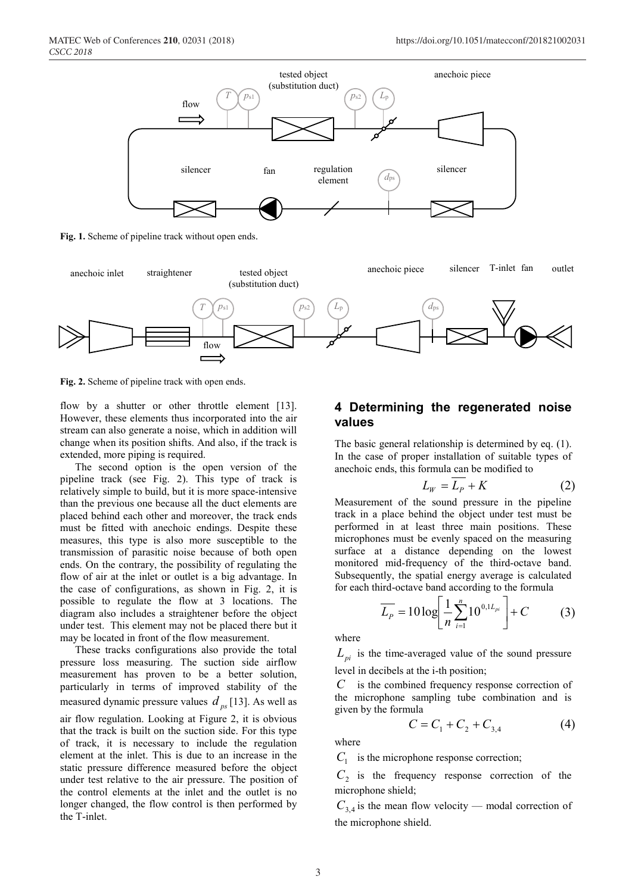

**Fig. 1.** Scheme of pipeline track without open ends.



**Fig. 2.** Scheme of pipeline track with open ends.

flow by a shutter or other throttle element [13]. However, these elements thus incorporated into the air stream can also generate a noise, which in addition will change when its position shifts. And also, if the track is extended, more piping is required.

The second option is the open version of the pipeline track (see Fig. 2). This type of track is relatively simple to build, but it is more space-intensive than the previous one because all the duct elements are placed behind each other and moreover, the track ends must be fitted with anechoic endings. Despite these measures, this type is also more susceptible to the transmission of parasitic noise because of both open ends. On the contrary, the possibility of regulating the flow of air at the inlet or outlet is a big advantage. In the case of configurations, as shown in Fig. 2, it is possible to regulate the flow at 3 locations. The diagram also includes a straightener before the object under test. This element may not be placed there but it may be located in front of the flow measurement.

These tracks configurations also provide the total pressure loss measuring. The suction side airflow measurement has proven to be a better solution, particularly in terms of improved stability of the measured dynamic pressure values  $d_{ps}$  [13]. As well as air flow regulation. Looking at Figure 2, it is obvious that the track is built on the suction side. For this type of track, it is necessary to include the regulation element at the inlet. This is due to an increase in the static pressure difference measured before the object under test relative to the air pressure. The position of the control elements at the inlet and the outlet is no longer changed, the flow control is then performed by the T-inlet.

# **4 Determining the regenerated noise values**

The basic general relationship is determined by eq. (1). In the case of proper installation of suitable types of anechoic ends, this formula can be modified to

$$
L_W = L_P + K \tag{2}
$$

Measurement of the sound pressure in the pipeline track in a place behind the object under test must be performed in at least three main positions. These microphones must be evenly spaced on the measuring surface at a distance depending on the lowest monitored mid-frequency of the third-octave band. Subsequently, the spatial energy average is calculated for each third-octave band according to the formula

$$
\overline{L_{P}} = 10 \log \left[ \frac{1}{n} \sum_{i=1}^{n} 10^{0,1 L_{pi}} \right] + C \tag{3}
$$

where

 $L_{pi}$  is the time-averaged value of the sound pressure level in decibels at the i-th position;

*C* is the combined frequency response correction of the microphone sampling tube combination and is given by the formula

$$
C = C_1 + C_2 + C_{3,4} \tag{4}
$$

where

 $C_1$  is the microphone response correction;

 $C<sub>2</sub>$  is the frequency response correction of the microphone shield;

 $C_{3,4}$  is the mean flow velocity — modal correction of the microphone shield.